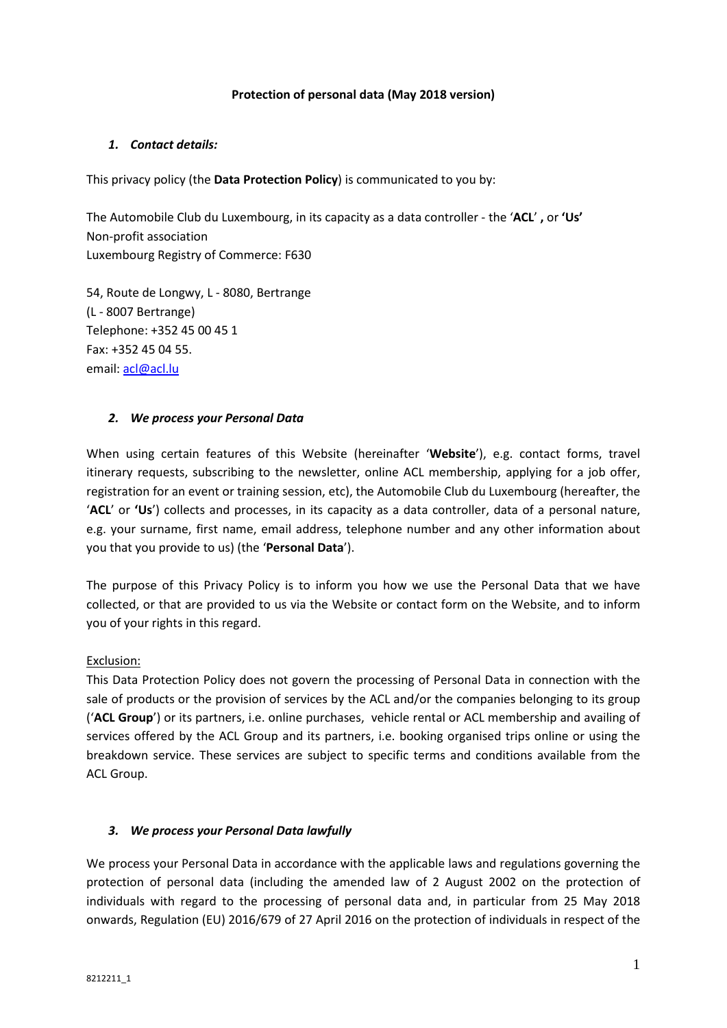### **Protection of personal data (May 2018 version)**

### *1. Contact details:*

This privacy policy (the **Data Protection Policy**) is communicated to you by:

The Automobile Club du Luxembourg, in its capacity as a data controller - the '**ACL**' **,** or **'Us'** Non-profit association Luxembourg Registry of Commerce: F630

54, Route de Longwy, L - 8080, Bertrange (L - 8007 Bertrange) Telephone: +352 45 00 45 1 Fax: +352 45 04 55. email: acl@acl.lu

### *2. We process your Personal Data*

When using certain features of this Website (hereinafter '**Website**'), e.g. contact forms, travel itinerary requests, subscribing to the newsletter, online ACL membership, applying for a job offer, registration for an event or training session, etc), the Automobile Club du Luxembourg (hereafter, the '**ACL**' or **'Us**') collects and processes, in its capacity as a data controller, data of a personal nature, e.g. your surname, first name, email address, telephone number and any other information about you that you provide to us) (the '**Personal Data**').

The purpose of this Privacy Policy is to inform you how we use the Personal Data that we have collected, or that are provided to us via the Website or contact form on the Website, and to inform you of your rights in this regard.

# Exclusion:

This Data Protection Policy does not govern the processing of Personal Data in connection with the sale of products or the provision of services by the ACL and/or the companies belonging to its group ('**ACL Group**') or its partners, i.e. online purchases, vehicle rental or ACL membership and availing of services offered by the ACL Group and its partners, i.e. booking organised trips online or using the breakdown service. These services are subject to specific terms and conditions available from the ACL Group.

# *3. We process your Personal Data lawfully*

We process your Personal Data in accordance with the applicable laws and regulations governing the protection of personal data (including the amended law of 2 August 2002 on the protection of individuals with regard to the processing of personal data and, in particular from 25 May 2018 onwards, Regulation (EU) 2016/679 of 27 April 2016 on the protection of individuals in respect of the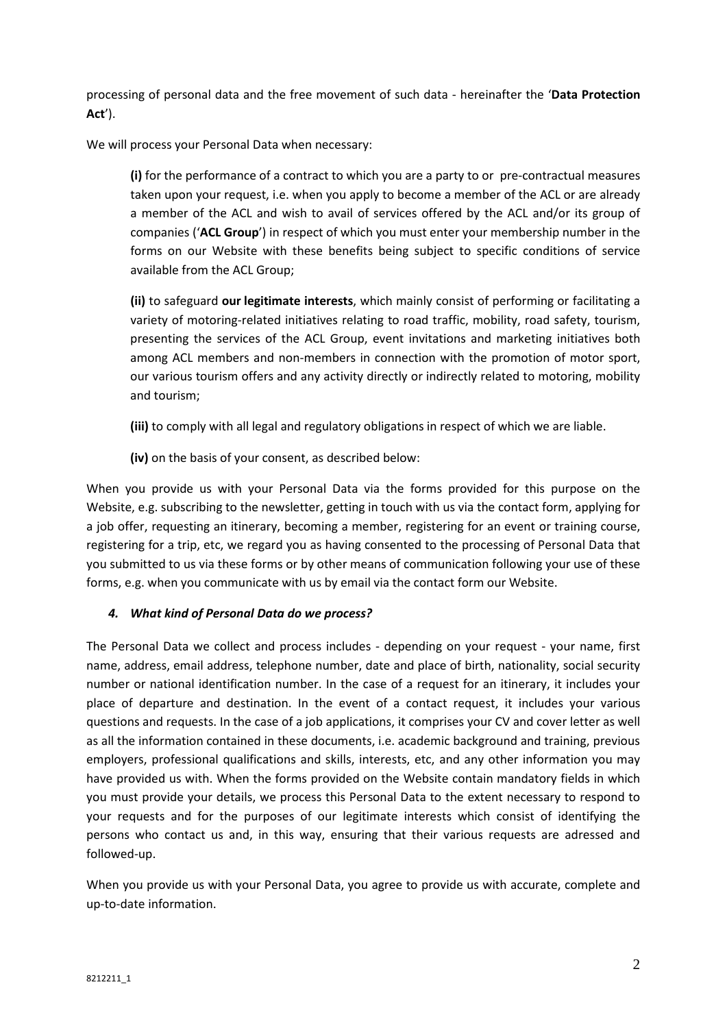processing of personal data and the free movement of such data - hereinafter the '**Data Protection Act**').

We will process your Personal Data when necessary:

**(i)** for the performance of a contract to which you are a party to or pre-contractual measures taken upon your request, i.e. when you apply to become a member of the ACL or are already a member of the ACL and wish to avail of services offered by the ACL and/or its group of companies ('**ACL Group**') in respect of which you must enter your membership number in the forms on our Website with these benefits being subject to specific conditions of service available from the ACL Group;

**(ii)** to safeguard **our legitimate interests**, which mainly consist of performing or facilitating a variety of motoring-related initiatives relating to road traffic, mobility, road safety, tourism, presenting the services of the ACL Group, event invitations and marketing initiatives both among ACL members and non-members in connection with the promotion of motor sport, our various tourism offers and any activity directly or indirectly related to motoring, mobility and tourism;

- **(iii)** to comply with all legal and regulatory obligations in respect of which we are liable.
- **(iv)** on the basis of your consent, as described below:

When you provide us with your Personal Data via the forms provided for this purpose on the Website, e.g. subscribing to the newsletter, getting in touch with us via the contact form, applying for a job offer, requesting an itinerary, becoming a member, registering for an event or training course, registering for a trip, etc, we regard you as having consented to the processing of Personal Data that you submitted to us via these forms or by other means of communication following your use of these forms, e.g. when you communicate with us by email via the contact form our Website.

# *4. What kind of Personal Data do we process?*

The Personal Data we collect and process includes - depending on your request - your name, first name, address, email address, telephone number, date and place of birth, nationality, social security number or national identification number. In the case of a request for an itinerary, it includes your place of departure and destination. In the event of a contact request, it includes your various questions and requests. In the case of a job applications, it comprises your CV and cover letter as well as all the information contained in these documents, i.e. academic background and training, previous employers, professional qualifications and skills, interests, etc, and any other information you may have provided us with. When the forms provided on the Website contain mandatory fields in which you must provide your details, we process this Personal Data to the extent necessary to respond to your requests and for the purposes of our legitimate interests which consist of identifying the persons who contact us and, in this way, ensuring that their various requests are adressed and followed-up.

When you provide us with your Personal Data, you agree to provide us with accurate, complete and up-to-date information.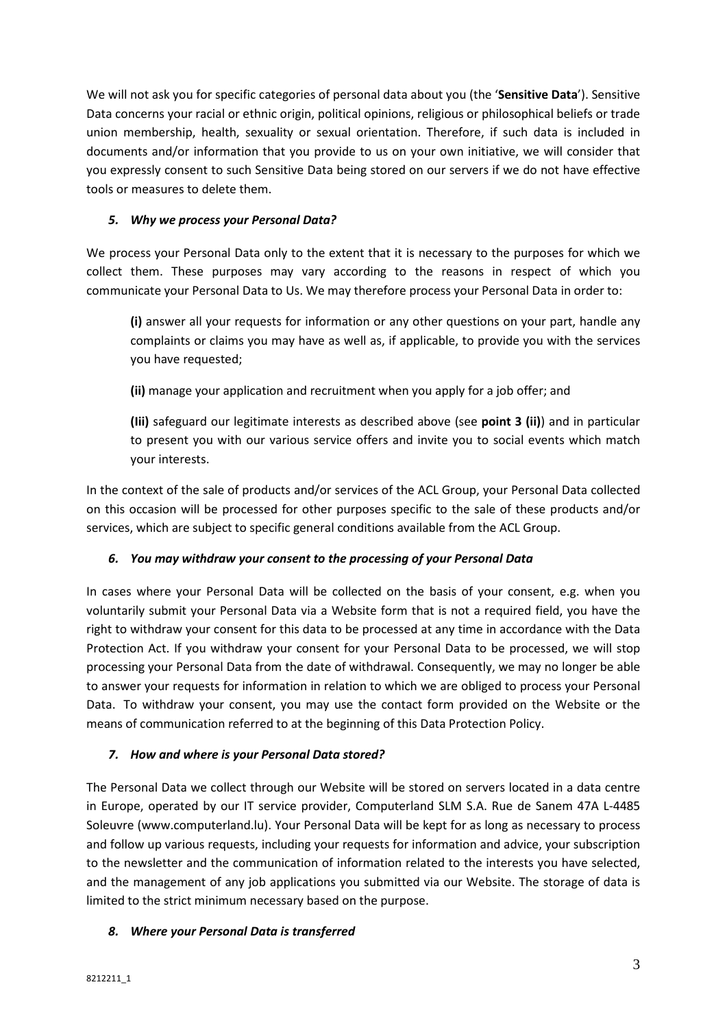We will not ask you for specific categories of personal data about you (the '**Sensitive Data**'). Sensitive Data concerns your racial or ethnic origin, political opinions, religious or philosophical beliefs or trade union membership, health, sexuality or sexual orientation. Therefore, if such data is included in documents and/or information that you provide to us on your own initiative, we will consider that you expressly consent to such Sensitive Data being stored on our servers if we do not have effective tools or measures to delete them.

# *5. Why we process your Personal Data?*

We process your Personal Data only to the extent that it is necessary to the purposes for which we collect them. These purposes may vary according to the reasons in respect of which you communicate your Personal Data to Us. We may therefore process your Personal Data in order to:

**(i)** answer all your requests for information or any other questions on your part, handle any complaints or claims you may have as well as, if applicable, to provide you with the services you have requested;

**(ii)** manage your application and recruitment when you apply for a job offer; and

**(Iii)** safeguard our legitimate interests as described above (see **point 3 (ii)**) and in particular to present you with our various service offers and invite you to social events which match your interests.

In the context of the sale of products and/or services of the ACL Group, your Personal Data collected on this occasion will be processed for other purposes specific to the sale of these products and/or services, which are subject to specific general conditions available from the ACL Group.

# *6. You may withdraw your consent to the processing of your Personal Data*

In cases where your Personal Data will be collected on the basis of your consent, e.g. when you voluntarily submit your Personal Data via a Website form that is not a required field, you have the right to withdraw your consent for this data to be processed at any time in accordance with the Data Protection Act. If you withdraw your consent for your Personal Data to be processed, we will stop processing your Personal Data from the date of withdrawal. Consequently, we may no longer be able to answer your requests for information in relation to which we are obliged to process your Personal Data. To withdraw your consent, you may use the contact form provided on the Website or the means of communication referred to at the beginning of this Data Protection Policy.

# *7. How and where is your Personal Data stored?*

The Personal Data we collect through our Website will be stored on servers located in a data centre in Europe, operated by our IT service provider, Computerland SLM S.A. Rue de Sanem 47A L-4485 Soleuvre (www.computerland.lu). Your Personal Data will be kept for as long as necessary to process and follow up various requests, including your requests for information and advice, your subscription to the newsletter and the communication of information related to the interests you have selected, and the management of any job applications you submitted via our Website. The storage of data is limited to the strict minimum necessary based on the purpose.

# *8. Where your Personal Data is transferred*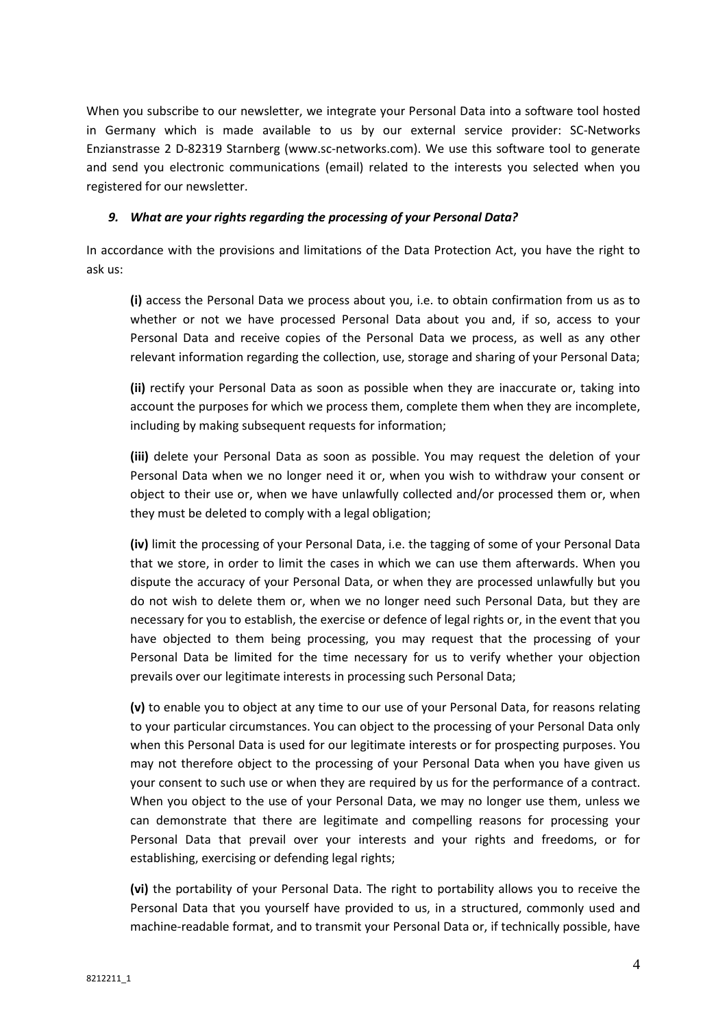When you subscribe to our newsletter, we integrate your Personal Data into a software tool hosted in Germany which is made available to us by our external service provider: SC-Networks Enzianstrasse 2 D-82319 Starnberg (www.sc-networks.com). We use this software tool to generate and send you electronic communications (email) related to the interests you selected when you registered for our newsletter.

### *9. What are your rights regarding the processing of your Personal Data?*

In accordance with the provisions and limitations of the Data Protection Act, you have the right to ask us:

**(i)** access the Personal Data we process about you, i.e. to obtain confirmation from us as to whether or not we have processed Personal Data about you and, if so, access to your Personal Data and receive copies of the Personal Data we process, as well as any other relevant information regarding the collection, use, storage and sharing of your Personal Data;

**(ii)** rectify your Personal Data as soon as possible when they are inaccurate or, taking into account the purposes for which we process them, complete them when they are incomplete, including by making subsequent requests for information;

**(iii)** delete your Personal Data as soon as possible. You may request the deletion of your Personal Data when we no longer need it or, when you wish to withdraw your consent or object to their use or, when we have unlawfully collected and/or processed them or, when they must be deleted to comply with a legal obligation;

**(iv)** limit the processing of your Personal Data, i.e. the tagging of some of your Personal Data that we store, in order to limit the cases in which we can use them afterwards. When you dispute the accuracy of your Personal Data, or when they are processed unlawfully but you do not wish to delete them or, when we no longer need such Personal Data, but they are necessary for you to establish, the exercise or defence of legal rights or, in the event that you have objected to them being processing, you may request that the processing of your Personal Data be limited for the time necessary for us to verify whether your objection prevails over our legitimate interests in processing such Personal Data;

**(v)** to enable you to object at any time to our use of your Personal Data, for reasons relating to your particular circumstances. You can object to the processing of your Personal Data only when this Personal Data is used for our legitimate interests or for prospecting purposes. You may not therefore object to the processing of your Personal Data when you have given us your consent to such use or when they are required by us for the performance of a contract. When you object to the use of your Personal Data, we may no longer use them, unless we can demonstrate that there are legitimate and compelling reasons for processing your Personal Data that prevail over your interests and your rights and freedoms, or for establishing, exercising or defending legal rights;

**(vi)** the portability of your Personal Data. The right to portability allows you to receive the Personal Data that you yourself have provided to us, in a structured, commonly used and machine-readable format, and to transmit your Personal Data or, if technically possible, have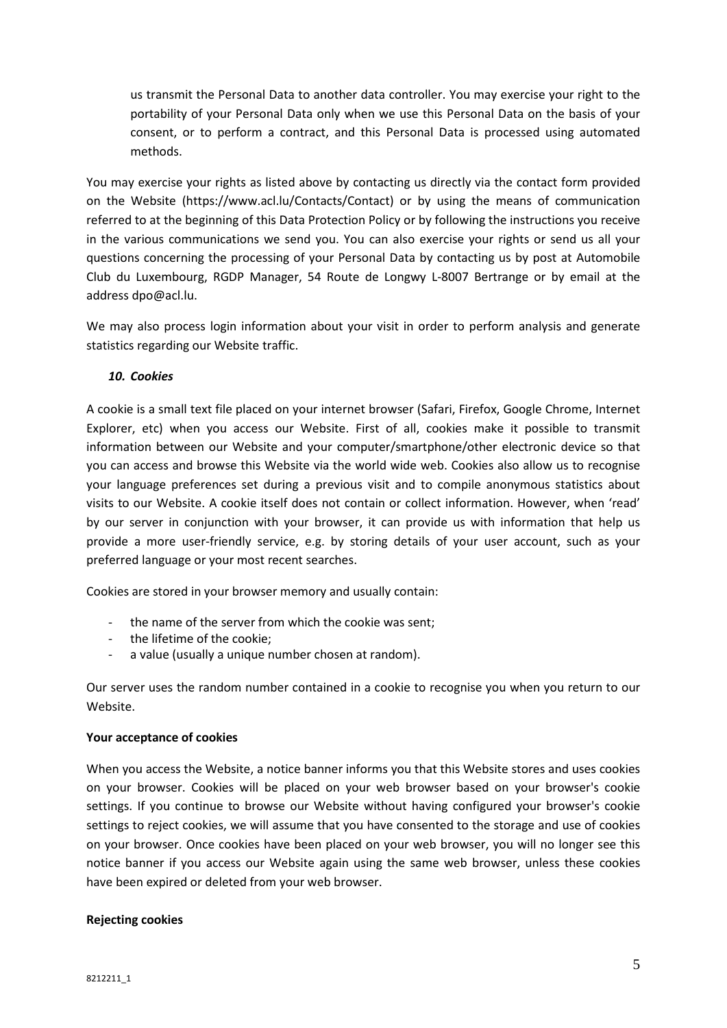us transmit the Personal Data to another data controller. You may exercise your right to the portability of your Personal Data only when we use this Personal Data on the basis of your consent, or to perform a contract, and this Personal Data is processed using automated methods.

You may exercise your rights as listed above by contacting us directly via the contact form provided on the Website (https://www.acl.lu/Contacts/Contact) or by using the means of communication referred to at the beginning of this Data Protection Policy or by following the instructions you receive in the various communications we send you. You can also exercise your rights or send us all your questions concerning the processing of your Personal Data by contacting us by post at Automobile Club du Luxembourg, RGDP Manager, 54 Route de Longwy L-8007 Bertrange or by email at the address dpo@acl.lu.

We may also process login information about your visit in order to perform analysis and generate statistics regarding our Website traffic.

### *10. Cookies*

A cookie is a small text file placed on your internet browser (Safari, Firefox, Google Chrome, Internet Explorer, etc) when you access our Website. First of all, cookies make it possible to transmit information between our Website and your computer/smartphone/other electronic device so that you can access and browse this Website via the world wide web. Cookies also allow us to recognise your language preferences set during a previous visit and to compile anonymous statistics about visits to our Website. A cookie itself does not contain or collect information. However, when 'read' by our server in conjunction with your browser, it can provide us with information that help us provide a more user-friendly service, e.g. by storing details of your user account, such as your preferred language or your most recent searches.

Cookies are stored in your browser memory and usually contain:

- the name of the server from which the cookie was sent;
- the lifetime of the cookie;
- a value (usually a unique number chosen at random).

Our server uses the random number contained in a cookie to recognise you when you return to our Website.

#### **Your acceptance of cookies**

When you access the Website, a notice banner informs you that this Website stores and uses cookies on your browser. Cookies will be placed on your web browser based on your browser's cookie settings. If you continue to browse our Website without having configured your browser's cookie settings to reject cookies, we will assume that you have consented to the storage and use of cookies on your browser. Once cookies have been placed on your web browser, you will no longer see this notice banner if you access our Website again using the same web browser, unless these cookies have been expired or deleted from your web browser.

#### **Rejecting cookies**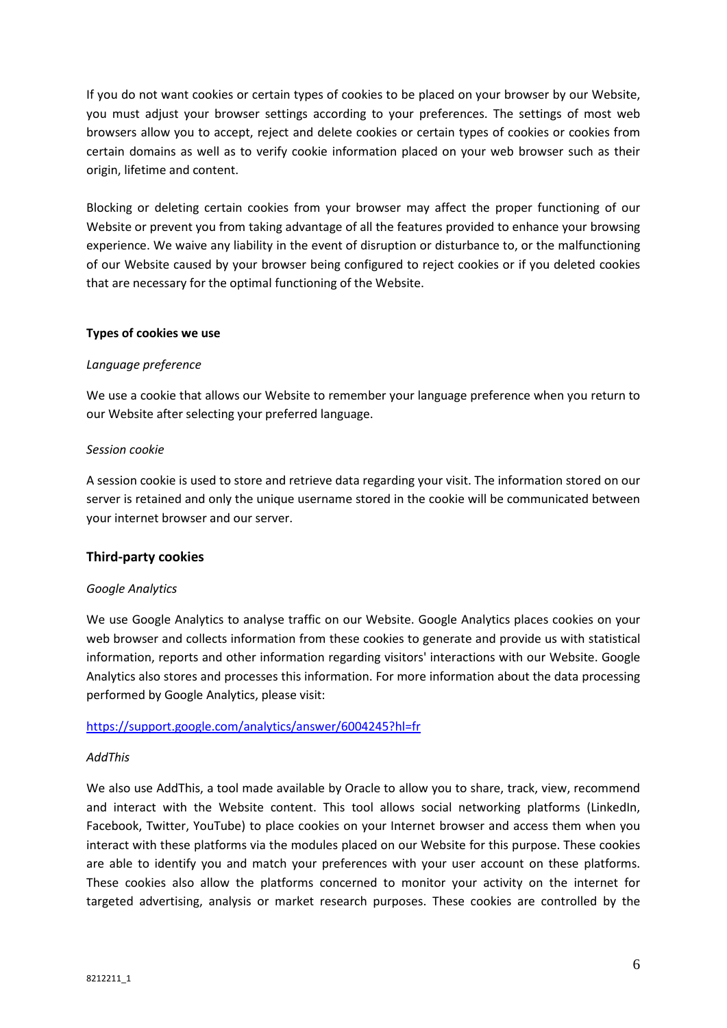If you do not want cookies or certain types of cookies to be placed on your browser by our Website, you must adjust your browser settings according to your preferences. The settings of most web browsers allow you to accept, reject and delete cookies or certain types of cookies or cookies from certain domains as well as to verify cookie information placed on your web browser such as their origin, lifetime and content.

Blocking or deleting certain cookies from your browser may affect the proper functioning of our Website or prevent you from taking advantage of all the features provided to enhance your browsing experience. We waive any liability in the event of disruption or disturbance to, or the malfunctioning of our Website caused by your browser being configured to reject cookies or if you deleted cookies that are necessary for the optimal functioning of the Website.

### **Types of cookies we use**

### *Language preference*

We use a cookie that allows our Website to remember your language preference when you return to our Website after selecting your preferred language.

### *Session cookie*

A session cookie is used to store and retrieve data regarding your visit. The information stored on our server is retained and only the unique username stored in the cookie will be communicated between your internet browser and our server.

# **Third-party cookies**

#### *Google Analytics*

We use Google Analytics to analyse traffic on our Website. Google Analytics places cookies on your web browser and collects information from these cookies to generate and provide us with statistical information, reports and other information regarding visitors' interactions with our Website. Google Analytics also stores and processes this information. For more information about the data processing performed by Google Analytics, please visit:

# <https://support.google.com/analytics/answer/6004245?hl=fr>

#### *AddThis*

We also use AddThis, a tool made available by Oracle to allow you to share, track, view, recommend and interact with the Website content. This tool allows social networking platforms (LinkedIn, Facebook, Twitter, YouTube) to place cookies on your Internet browser and access them when you interact with these platforms via the modules placed on our Website for this purpose. These cookies are able to identify you and match your preferences with your user account on these platforms. These cookies also allow the platforms concerned to monitor your activity on the internet for targeted advertising, analysis or market research purposes. These cookies are controlled by the